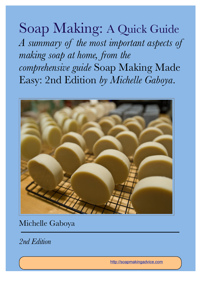# Soap Making: A Quick Guide

*A summary of the most important aspects of making soap at home, from the comprehensive guide* Soap Making Made Easy: 2nd Edition *by Michelle Gaboya*.



Michelle Gaboya

*2nd Edition* 

<http://soapmakingadvice.com>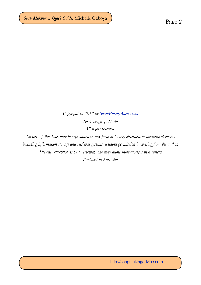### *Copyright © 2012 by [SoapMakingAdvice.com](http://soapmakingadvice.com) Book design by Horto All rights reserved.*

*No part of this book may be reproduced in any form or by any electronic or mechanical means including information storage and retrieval systems, without permission in writing from the author. The only exception is by a reviewer, who may quote short excerpts in a review. Produced in Australia*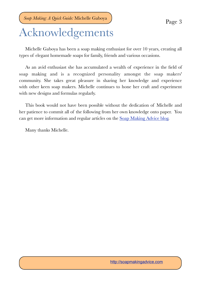## Acknowledgements

Michelle Gaboya has been a soap making enthusiast for over 10 years, creating all types of elegant homemade soaps for family, friends and various occasions.

As an avid enthusiast she has accumulated a wealth of experience in the field of soap making and is a recognized personality amongst the soap makers' community. She takes great pleasure in sharing her knowledge and experience with other keen soap makers. Michelle continues to hone her craft and experiment with new designs and formulas regularly.

This book would not have been possible without the dedication of Michelle and her patience to commit all of the following from her own knowledge onto paper. You can get more information and regular articles on the [Soap Making Advice blog](http://soapmakingadvice.com/additional-articles).

Many thanks Michelle.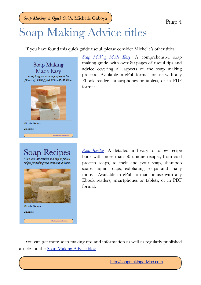# Soap Making Advice titles

If you have found this quick guide useful, please consider Michelle's other titles:

Soap Making Made Easy Everything you need to jump-start the process of making your own soap, at home! Michelle Gabova 2nd Edition http://soapmakingadvice.com

Soap Recip pes

More than  $50$  detailed and easy to follow recipes for making your own soap at home.



*[Soap Making Made Easy](http://soapmakingadvice.com)*: A comprehensive soap making guide, with over 80 pages of useful tips and advice covering all aspects of the soap making process. Available in ePub format for use with any Ebook readers, smartphones or tablets, or in PDF format.

*[Soap Recipes](http://soapmakingadvice.com)*: A detailed and easy to follow recipe book with more than 50 unique recipes, from cold process soaps, to melt and pour soap, shampoo soaps, liquid soaps, exfoliating soaps and many more. Available in ePub format for use with any Ebook readers, smartphones or tablets, or in PDF format.

You can get more soap making tips and information as well as regularly published articles on the [Soap Making Advice blog.](http://soapmakingadvice.com/additional-articles)

<http://soapmakingadvice.com>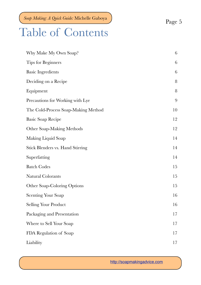## Table of Contents

| Why Make My Own Soap?                   | $\,6\,$ |
|-----------------------------------------|---------|
| <b>Tips for Beginners</b>               | $6\,$   |
| <b>Basic Ingredients</b>                | 6       |
| Deciding on a Recipe                    | $\, 8$  |
| Equipment                               | 8       |
| Precautions for Working with Lye        | 9       |
| The Cold-Process Soap-Making Method     | 10      |
| <b>Basic Soap Recipe</b>                | 12      |
| <b>Other Soap-Making Methods</b>        | 12      |
| Making Liquid Soap                      | 14      |
| <b>Stick Blenders vs. Hand Stirring</b> | 14      |
| Superfatting                            | 14      |
| <b>Batch Codes</b>                      | 15      |
| Natural Colorants                       | 15      |
| <b>Other Soap-Coloring Options</b>      | 15      |
| <b>Scenting Your Soap</b>               | 16      |
| <b>Selling Your Product</b>             | 16      |
| Packaging and Presentation              | 17      |
| Where to Sell Your Soap                 | 17      |
| FDA Regulation of Soap                  | 17      |
| Liability                               | 17      |
|                                         |         |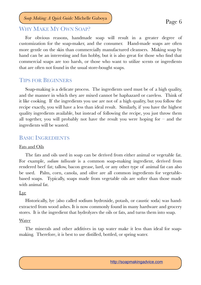#### <span id="page-5-0"></span>WHY MAKE MY OWN SOAP?

For obvious reasons, handmade soap will result in a greater degree of customization for the soap-maker, and the consumer. Hand-made soaps are often more gentle on the skin than commercially manufactured cleansers. Making soap by hand can be an interesting and fun hobby, but it is also great for those who find that commercial soaps are too harsh, or those who want to utilize scents or ingredients that are often not found in the usual store-bought soaps.

#### <span id="page-5-1"></span>TIPS FOR BEGINNERS

Soap-making is a delicate process. The ingredients used must be of a high quality, and the manner in which they are mixed cannot be haphazard or careless. Think of it like cooking. If the ingredients you use are not of a high quality, but you follow the recipe exactly, you will have a less than ideal result. Similarly, if you have the highest quality ingredients available, but instead of following the recipe, you just throw them all together, you will probably not have the result you were hoping for  $-$  and the ingredients will be wasted.

#### <span id="page-5-2"></span>BASIC INGREDIENTS

#### Fats and Oils

The fats and oils used in soap can be derived from either animal or vegetable fat. For example, *sodium tallowate* is a common soap-making ingredient, derived from rendered beef fat; tallow, bacon grease, lard, or any other type of animal fat can also be used. Palm, corn, canola, and olive are all common ingredients for vegetablebased soaps. Typically, soaps made from vegetable oils are softer than those made with animal fat.

#### Lye

Historically, lye (also called sodium hydroxide, potash, or caustic soda) was handextracted from wood ashes. It is now commonly found in many hardware and grocery stores. It is the ingredient that hydrolyzes the oils or fats, and turns them into soap.

#### Water

The minerals and other additives in tap water make it less than ideal for soapmaking. Therefore, it is best to use distilled, bottled, or spring water.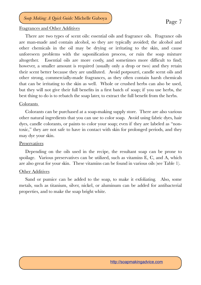#### Fragrances and Other Additives

There are two types of scent oils: essential oils and fragrance oils. Fragrance oils are man-made and contain alcohol, so they are typically avoided; the alcohol and other chemicals in the oil may be drying or irritating to the skin, and cause unforeseen problems with the saponification process, or ruin the soap mixture altogether. Essential oils are more costly, and sometimes more difficult to find; however, a smaller amount is required (usually only a drop or two) and they retain their scent better because they are undiluted. Avoid potpourri, candle scent oils and other strong, commercially-made fragrances, as they often contain harsh chemicals that can be irritating to the skin as well. Whole or crushed herbs can also be used, but they will not give their full benefits in a first batch of soap; if you use herbs, the best thing to do is to rebatch the soap later, to extract the full benefit from the herbs.

#### Colorants

Colorants can be purchased at a soap-making supply store. There are also various other natural ingredients that you can use to color soap. Avoid using fabric dyes, hair dyes, candle colorants, or paints to color your soap; even if they are labeled as "nontoxic," they are not safe to have in contact with skin for prolonged periods, and they may dye your skin.

#### **Preservatives**

Depending on the oils used in the recipe, the resultant soap can be prone to spoilage. Various preservatives can be utilized, such as vitamins E, C, and A, which are also great for your skin. These vitamins can be found in various oils (see Table 1).

#### Other Additives

Sand or pumice can be added to the soap, to make it exfoliating. Also, some metals, such as titanium, silver, nickel, or aluminum can be added for antibacterial properties, and to make the soap bright white.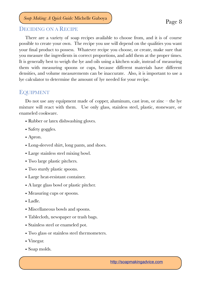#### <span id="page-7-0"></span>DECIDING ON A RECIPE

There are a variety of soap recipes available to choose from, and it is of course possible to create your own. The recipe you use will depend on the qualities you want your final product to possess. Whatever recipe you choose, or create, make sure that you measure the ingredients in correct proportions, and add them at the proper times. It is generally best to weigh the lye and oils using a kitchen scale, instead of measuring them with measuring spoons or cups, because different materials have different densities, and volume measurements can be inaccurate. Also, it is important to use a lye calculator to determine the amount of lye needed for your recipe.

#### <span id="page-7-1"></span>EQUIPMENT

Do not use any equipment made of copper, aluminum, cast iron, or zinc – the lye mixture will react with them. Use only glass, stainless steel, plastic, stoneware, or enameled cookware.

- Rubber or latex dishwashing gloves.
- Safety goggles.
- Apron.
- Long-sleeved shirt, long pants, and shoes.
- Large stainless steel mixing bowl.
- Two large plastic pitchers.
- Two sturdy plastic spoons.
- Large heat-resistant container.
- A large glass bowl or plastic pitcher.
- Measuring cups or spoons.
- Ladle.
- Miscellaneous bowls and spoons.
- Tablecloth, newspaper or trash bags.
- Stainless steel or enameled pot.
- Two glass or stainless steel thermometers.
- Vinegar.
- Soap molds.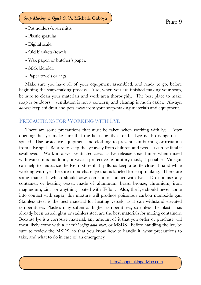- Pot holders/oven mitts.
- Plastic spatulas.
- Digital scale.
- Old blankets/towels.
- Wax paper, or butcher's paper.
- Stick blender.
- Paper towels or rags.

Make sure you have all of your equipment assembled, and ready to go, before beginning the soap-making process. Also, when you are finished making your soap, be sure to clean your materials and work area thoroughly. The best place to make soap is outdoors – ventilation is not a concern, and cleanup is much easier. Always, *always* keep children and pets away from your soap-making materials and equipment.

### <span id="page-8-0"></span>PRECAUTIONS FOR WORKING WITH LYE

There are some precautions that must be taken when working with lye. After opening the lye, make sure that the lid is tightly closed. Lye is also dangerous if spilled. Use protective equipment and clothing, to prevent skin burning or irritation from a lye spill. Be sure to keep the lye away from children and pets  $-$  it can be fatal if swallowed. Work in a well-ventilated area, as lye releases toxic fumes when mixed with water; mix outdoors, or wear a protective respiratory mask, if possible. Vinegar can help to neutralize the lye mixture if it spills, so keep a bottle close at hand while working with lye. Be sure to purchase lye that is labeled for soap-making. There are some materials which should *never* come into contact with lye. Do not use any container, or heating vessel, made of aluminum, brass, bronze, chromium, iron, magnesium, zinc, or anything coated with Teflon. Also, the lye should never come into contact with sugar; this mixture will produce poisonous carbon monoxide gas. Stainless steel is the best material for heating vessels, as it can withstand elevated temperatures. Plastics may soften at higher temperatures, so unless the plastic has already been tested, glass or stainless steel are the best materials for mixing containers. Because lye is a corrosive material, any amount of it that you order or purchase will most likely come with a *material safety data sheet,* or MSDS. Before handling the lye, be sure to review the MSDS, so that you know how to handle it, what precautions to take, and what to do in case of an emergency.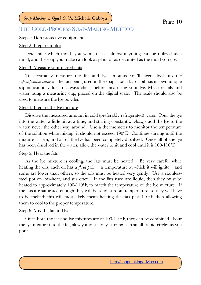#### <span id="page-9-0"></span>THE COLD-PROCESS SOAP-MAKING METHOD

#### Step 1: Don protective equipment

#### Step 2: Prepare molds

Determine which molds you want to use; almost anything can be utilized as a mold, and the soap you make can look as plain or as decorated as the mold you use.

#### Step 3: Measure your ingredients

To accurately measure the fat and lye amounts you'll need, look up the *saponification value* of the fats being used in the soap. Each fat or oil has its own unique saponification value, so always check before measuring your lye. Measure oils and water using a measuring cup, placed on the digital scale. The scale should also be used to measure the lye powder.

#### Step 4: Prepare the lye mixture

Dissolve the measured amount in cold (preferably refrigerated) water. Pour the lye into the water, a little bit at a time, and stirring constantly. *Always* add the lye to the water, never the other way around. Use a thermometer to monitor the temperature of the solution while mixing; it should not exceed 190°F. Continue stirring until the mixture is clear, and all of the lye has been completely dissolved. Once all of the lye has been dissolved in the water, allow the water to sit and cool until it is 100-110°F.

#### Step 5: Heat the fats

As the lye mixture is cooling, the fats must be heated. Be very careful while heating the oils; each oil has a *flash point* – a temperature at which it will ignite – and some are lower than others, so the oils must be heated very gently. Use a stainlesssteel pot on low-heat, and stir often. If the fats used are liquid, then they must be heated to approximately 100-110<sup>o</sup>F, to match the temperature of the lye mixture. If the fats are saturated enough they will be solid at room temperature, so they will have to be melted; this will most likely mean heating the fats past 110°F, then allowing them to cool to the proper temperature.

#### Step 6: Mix the fat and lye

Once both the fat and lye mixtures are at 100-110°F, they can be combined. Pour the lye mixture into the fat, slowly and steadily, stirring it in small, rapid circles as you pour.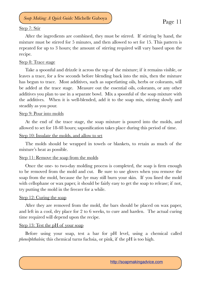#### Step 7: Stir

After the ingredients are combined, they must be stirred. If stirring by hand, the mixture must be stirred for 5 minutes, and then allowed to set for 15. This pattern is repeated for up to 3 hours; the amount of stirring required will vary based upon the recipe.

#### Step 8: Trace stage

Take a spoonful and drizzle it across the top of the mixture; if it remains visible, or leaves a trace, for a few seconds before blending back into the mix, then the mixture has begun to trace. Most additives, such as superfatting oils, herbs or colorants, will be added at the trace stage. Measure out the essential oils, colorants, or any other additives you plan to use in a separate bowl. Mix a spoonful of the soap mixture with the additives. When it is well-blended, add it to the soap mix, stirring slowly and steadily as you pour.

#### Step 9: Pour into molds

At the end of the trace stage, the soap mixture is poured into the molds, and allowed to set for 18-48 hours; saponification takes place during this period of time.

#### Step 10: Insulate the molds, and allow to set

The molds should be wrapped in towels or blankets, to retain as much of the mixture's heat as possible.

#### Step 11: Remove the soap from the molds

Once the one- to two-day molding process is completed, the soap is firm enough to be removed from the mold and cut. Be sure to use gloves when you remove the soap from the mold, because the lye may still burn your skin. If you lined the mold with cellophane or wax paper, it should be fairly easy to get the soap to release; if not, try putting the mold in the freezer for a while.

#### Step 12: Curing the soap

After they are removed from the mold, the bars should be placed on wax paper, and left in a cool, dry place for 2 to 6 weeks, to cure and harden. The actual curing time required will depend upon the recipe.

#### Step 13: Test the pH of your soap

Before using your soap, test a bar for pH level, using a chemical called *phenolphthalein;* this chemical turns fuchsia, or pink, if the pH is too high.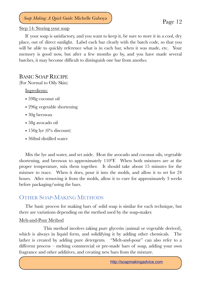Step 14: Storing your soap

If your soap is satisfactory, and you want to keep it, be sure to store it in a cool, dry place, out of direct sunlight. Label each bar clearly with the batch code, so that you will be able to quickly reference what is in each bar, when it was made, etc. Your memory is good now, but after a few months go by, and you have made several batches, it may become difficult to distinguish one bar from another.

#### <span id="page-11-0"></span>BASIC SOAP RECIPE

(For Normal to Oily Skin)

Ingredients:

- 598g coconut oil
- 296g vegetable shortening
- 30g beeswax
- 58g avocado oil
- 150g lye  $(6\%$  discount)
- 368ml distilled water

Mix the lye and water, and set aside. Heat the avocado and coconut oils, vegetable shortening, and beeswax to approximately 110°F. When both mixtures are at the proper temperature, mix them together. It should take about 15 minutes for the mixture to trace. When it does, pour it into the molds, and allow it to set for 24 hours. After removing it from the molds, allow it to cure for approximately 3 weeks before packaging/using the bars.

### <span id="page-11-1"></span>OTHER SOAP-MAKING METHODS

The basic process for making bars of solid soap is similar for each technique, but there are variations depending on the method used by the soap-maker.

#### Melt-and-Pour Method

This method involves taking pure glycerin (animal or vegetable derived), which is always in liquid form, and solidifying it by adding other chemicals. The lather is created by adding pure detergents. "Melt-and-pour" can also refer to a different process – melting commercial or pre-made bars of soap, adding your own fragrance and other additives, and creating new bars from the mixture.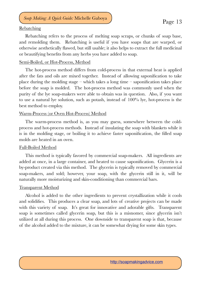or beautifying benefits from any herbs you have added to soap.

#### Rebatching

#### Semi-Boiled, or Hot-Process, Method

The hot-process method differs from cold-process in that external heat is applied after the fats and oils are mixed together. Instead of allowing saponification to take place during the molding stage – which takes a long time – saponification takes place before the soap is molded. The hot-process method was commonly used when the purity of the lye soap-makers were able to obtain was in question. Also, if you want to use a natural lye solution, such as potash, instead of 100% lye, hot-process is the best method to employ.

#### Warm-Process (or Oven Hot-Process) Method

The warm-process method is, as you may guess, somewhere between the coldprocess and hot-process methods. Instead of insulating the soap with blankets while it is in the molding stage, or boiling it to achieve faster saponification, the filled soap molds are heated in an oven.

#### Full-Boiled Method

This method is typically favored by commercial soap-makers. All ingredients are added at once, in a large container, and heated to cause saponification. Glycerin is a by-product created via this method. The glycerin is typically removed by commercial soap-makers, and sold; however, your soap, with the glycerin still in it, will be naturally more moisturizing and skin-conditioning than commercial bars.

#### Transparent Method

Alcohol is added to the other ingredients to prevent crystallization while it cools and solidifies. This produces a clear soap, and lots of creative projects can be made with this variety of soap. It's great for innovative and adorable gifts. Transparent soap is sometimes called glycerin soap, but this is a misnomer, since glycerin isn't utilized at all during this process. One downside to transparent soap is that, because of the alcohol added to the mixture, it can be somewhat drying for some skin types.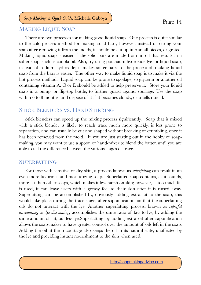#### <span id="page-13-0"></span>MAKING LIQUID SOAP

There are two processes for making good liquid soap. One process is quite similar to the cold-process method for making solid bars; however, instead of curing your soap after removing it from the molds, it should be cut up into small pieces, or grated. Making liquid soap is easier if the solid bars are made from an oil that results in a softer soap, such as canola oil. Also, try using potassium hydroxide lye for liquid soap, instead of sodium hydroxide; it makes softer bars, so the process of making liquid soap from the bars is easier. The other way to make liquid soap is to make it via the hot-process method. Liquid soap can be prone to spoilage, so glycerin or another oil containing vitamin A, C or E should be added to help preserve it. Store your liquid soap in a pump, or flip-top bottle, to further guard against spoilage. Use the soap within 6 to 8 months, and dispose of it if it becomes cloudy, or smells rancid.

#### <span id="page-13-1"></span>STICK BLENDERS VS. HAND STIRRING

Stick blenders can speed up the mixing process significantly. Soap that is mixed with a stick blender is likely to reach trace much more quickly, is less prone to separation, and can usually be cut and shaped without breaking or crumbling, once it has been removed from the mold. If you are just starting out in the hobby of soapmaking, you may want to use a spoon or hand-mixer to blend the batter, until you are able to tell the difference between the various stages of trace.

#### <span id="page-13-2"></span>SUPERFATTING

For those with sensitive or dry skin, a process known as *superfatting* can result in an even more luxurious and moisturizing soap. Superfatted soap contains, as it sounds, more fat than other soaps, which makes it less harsh on skin; however, if too much fat is used, it can leave users with a greasy feel to their skin after it is rinsed away. Superfatting can be accomplished by, obviously, adding extra fat to the soap; this would take place during the trace stage, after saponification, so that the superfatting oils do not interact with the lye. Another superfatting process, known as *superfat discounting*, or *lye discounting,* accomplishes the same ratio of fats to lye, by adding the same amount of fat, but less lye.Superfatting by adding extra oil after saponification allows the soap-maker to have greater control over the amount of oils left in the soap. Adding the oil at the trace stage also keeps the oil in its natural state, unaffected by the lye and providing instant nourishment to the skin when used.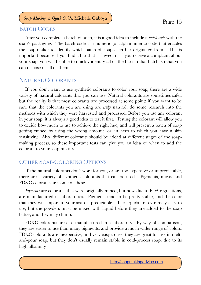#### <span id="page-14-0"></span>BATCH CODES

After you complete a batch of soap, it is a good idea to include a *batch code* with the soap's packaging. The batch code is a numeric (or alphanumeric) code that enables the soap-maker to identify which batch of soap each bar originated from. This is important because if you find a bar that is flawed, or if you receive a complaint about your soap, you will be able to quickly identify all of the bars in that batch, so that you

### <span id="page-14-1"></span>NATURAL COLORANTS

can dispose of all of them.

If you don't want to use synthetic colorants to color your soap, there are a wide variety of natural colorants that you can use. Natural colorants are sometimes safer, but the reality is that most colorants are processed at some point; if you want to be sure that the colorants you are using are *truly* natural, do some research into the methods with which they were harvested and processed. Before you use any colorant in your soap, it is always a good idea to test it first. Testing the colorant will allow you to decide how much to use to achieve the right hue, and will prevent a batch of soap getting ruined by using the wrong amount, or an herb to which you have a skin sensitivity. Also, different colorants should be added at different stages of the soapmaking process, so these important tests can give you an idea of when to add the colorant to your soap mixture.

#### <span id="page-14-2"></span>OTHER SOAP-COLORING OPTIONS

If the natural colorants don't work for you, or are too expensive or unpredictable, there are a variety of synthetic colorants that can be used. Pigments, micas, and FD&C colorants are some of these.

*Pigments* are colorants that were originally mined, but now, due to FDA regulations, are manufactured in laboratories. Pigments tend to be pretty stable, and the color that they will impart to your soap is predictable. The liquids are extremely easy to use, but the powders must be mixed with liquid before they are added to the soap batter, and they may clump.

FD&C colorants are also manufactured in a laboratory. By way of comparison, they are easier to use than many pigments, and provide a much wider range of colors. FD&C colorants are inexpensive, and very easy to use; they are great for use in meltand-pour soap, but they don't usually remain stable in cold-process soap, due to its high alkalinity.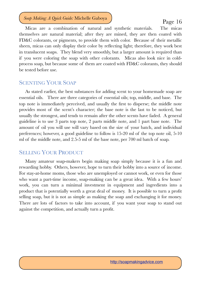Micas are a combination of natural and synthetic materials. The micas themselves are natural material; after they are mined, they are then coated with FD&C colorants, or pigments, to provide them with color. Because of their metallic sheen, micas can only display their color by reflecting light; therefore, they work best in translucent soaps. They blend very smoothly, but a larger amount is required than if you were coloring the soap with other colorants. Micas also look nice in coldprocess soap, but because some of them are coated with FD&C colorants, they should be tested before use.

#### <span id="page-15-0"></span>SCENTING YOUR SOAP

As stated earlier, the best substances for adding scent to your homemade soap are essential oils. There are three categories of essential oils; top, middle, and base. The top note is immediately perceived, and usually the first to disperse; the middle note provides most of the scent's character; the base note is the last to be noticed, but usually the strongest, and tends to remain after the other scents have faded. A general guideline is to use 3 parts top note, 2 parts middle note, and 1 part base note. The amount of oil you will use will vary based on the size of your batch, and individual preferences; however, a good guideline to follow is 15-20 ml of the top note oil, 5-10 ml of the middle note, and 2.5-5 ml of the base note, per 700 ml batch of soap.

#### <span id="page-15-1"></span>SELLING YOUR PRODUCT

Many amateur soap-makers begin making soap simply because it is a fun and rewarding hobby. Others, however, hope to turn their hobby into a source of income. For stay-at-home moms, those who are unemployed or cannot work, or even for those who want a part-time income, soap-making can be a great idea. With a few hours' work, you can turn a minimal investment in equipment and ingredients into a product that is potentially worth a great deal of money. It is possible to turn a profit selling soap, but it is not as simple as making the soap and exchanging it for money. There are lots of factors to take into account, if you want your soap to stand out against the competition, and actually turn a profit.